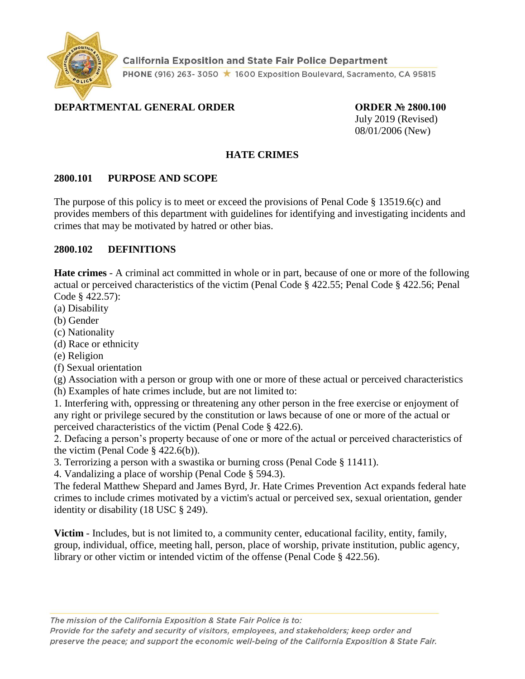

**California Exposition and State Fair Police Department** PHONE (916) 263-3050 ★ 1600 Exposition Boulevard, Sacramento, CA 95815

# **DEPARTMENTAL GENERAL ORDER ORDER № 2800.100**

July 2019 (Revised) 08/01/2006 (New)

#### **HATE CRIMES**

#### **2800.101 PURPOSE AND SCOPE**

The purpose of this policy is to meet or exceed the provisions of Penal Code § 13519.6(c) and provides members of this department with guidelines for identifying and investigating incidents and crimes that may be motivated by hatred or other bias.

#### **2800.102 DEFINITIONS**

**Hate crimes** - A criminal act committed in whole or in part, because of one or more of the following actual or perceived characteristics of the victim (Penal Code § 422.55; Penal Code § 422.56; Penal Code § 422.57):

- (a) Disability
- (b) Gender
- (c) Nationality
- (d) Race or ethnicity
- (e) Religion
- (f) Sexual orientation

(g) Association with a person or group with one or more of these actual or perceived characteristics

(h) Examples of hate crimes include, but are not limited to:

1. Interfering with, oppressing or threatening any other person in the free exercise or enjoyment of any right or privilege secured by the constitution or laws because of one or more of the actual or perceived characteristics of the victim (Penal Code § 422.6).

2. Defacing a person's property because of one or more of the actual or perceived characteristics of the victim (Penal Code  $\S$  422.6(b)).

3. Terrorizing a person with a swastika or burning cross (Penal Code § 11411).

4. Vandalizing a place of worship (Penal Code § 594.3).

The federal Matthew Shepard and James Byrd, Jr. Hate Crimes Prevention Act expands federal hate crimes to include crimes motivated by a victim's actual or perceived sex, sexual orientation, gender identity or disability (18 USC § 249).

**Victim** - Includes, but is not limited to, a community center, educational facility, entity, family, group, individual, office, meeting hall, person, place of worship, private institution, public agency, library or other victim or intended victim of the offense (Penal Code § 422.56).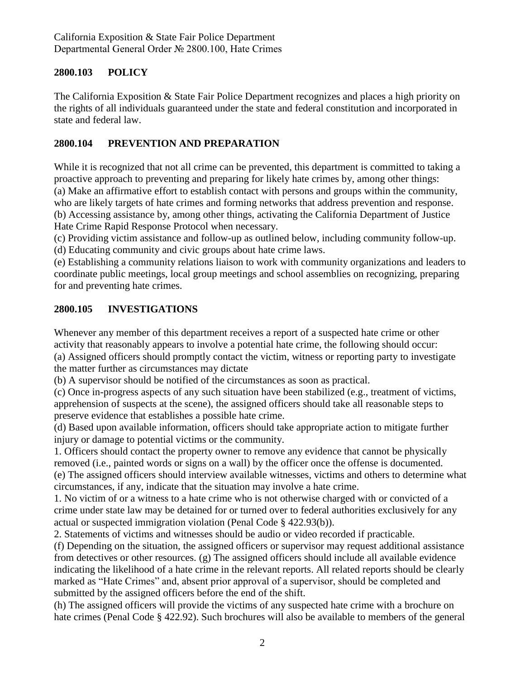### **2800.103 POLICY**

The California Exposition & State Fair Police Department recognizes and places a high priority on the rights of all individuals guaranteed under the state and federal constitution and incorporated in state and federal law.

## **2800.104 PREVENTION AND PREPARATION**

While it is recognized that not all crime can be prevented, this department is committed to taking a proactive approach to preventing and preparing for likely hate crimes by, among other things: (a) Make an affirmative effort to establish contact with persons and groups within the community, who are likely targets of hate crimes and forming networks that address prevention and response. (b) Accessing assistance by, among other things, activating the California Department of Justice Hate Crime Rapid Response Protocol when necessary.

(c) Providing victim assistance and follow-up as outlined below, including community follow-up. (d) Educating community and civic groups about hate crime laws.

(e) Establishing a community relations liaison to work with community organizations and leaders to coordinate public meetings, local group meetings and school assemblies on recognizing, preparing for and preventing hate crimes.

### **2800.105 INVESTIGATIONS**

Whenever any member of this department receives a report of a suspected hate crime or other activity that reasonably appears to involve a potential hate crime, the following should occur: (a) Assigned officers should promptly contact the victim, witness or reporting party to investigate the matter further as circumstances may dictate

(b) A supervisor should be notified of the circumstances as soon as practical.

(c) Once in-progress aspects of any such situation have been stabilized (e.g., treatment of victims, apprehension of suspects at the scene), the assigned officers should take all reasonable steps to preserve evidence that establishes a possible hate crime.

(d) Based upon available information, officers should take appropriate action to mitigate further injury or damage to potential victims or the community.

1. Officers should contact the property owner to remove any evidence that cannot be physically removed (i.e., painted words or signs on a wall) by the officer once the offense is documented. (e) The assigned officers should interview available witnesses, victims and others to determine what circumstances, if any, indicate that the situation may involve a hate crime.

1. No victim of or a witness to a hate crime who is not otherwise charged with or convicted of a crime under state law may be detained for or turned over to federal authorities exclusively for any actual or suspected immigration violation (Penal Code § 422.93(b)).

2. Statements of victims and witnesses should be audio or video recorded if practicable.

(f) Depending on the situation, the assigned officers or supervisor may request additional assistance from detectives or other resources. (g) The assigned officers should include all available evidence indicating the likelihood of a hate crime in the relevant reports. All related reports should be clearly marked as "Hate Crimes" and, absent prior approval of a supervisor, should be completed and submitted by the assigned officers before the end of the shift.

(h) The assigned officers will provide the victims of any suspected hate crime with a brochure on hate crimes (Penal Code § 422.92). Such brochures will also be available to members of the general